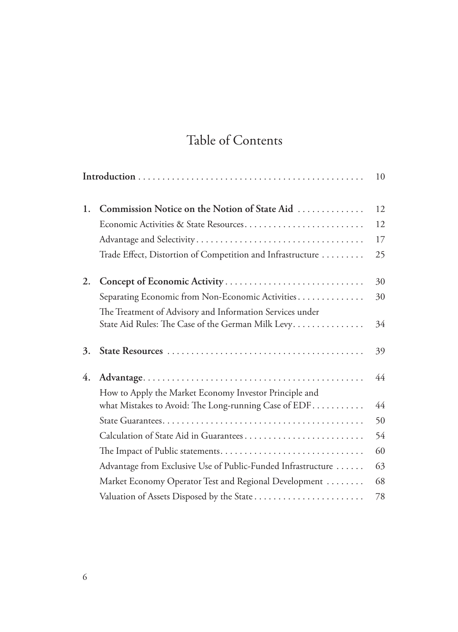## Table of Contents

|    |                                                              | 10 |
|----|--------------------------------------------------------------|----|
| 1. | Commission Notice on the Notion of State Aid                 | 12 |
|    | Economic Activities & State Resources                        | 12 |
|    |                                                              | 17 |
|    | Trade Effect, Distortion of Competition and Infrastructure   | 25 |
| 2. |                                                              | 30 |
|    | Separating Economic from Non-Economic Activities             | 30 |
|    | The Treatment of Advisory and Information Services under     |    |
|    | State Aid Rules: The Case of the German Milk Levy.           | 34 |
| 3. |                                                              | 39 |
| 4. |                                                              | 44 |
|    | How to Apply the Market Economy Investor Principle and       |    |
|    | what Mistakes to Avoid: The Long-running Case of $EDF$       | 44 |
|    |                                                              | 50 |
|    | Calculation of State Aid in Guarantees                       | 54 |
|    |                                                              | 60 |
|    | Advantage from Exclusive Use of Public-Funded Infrastructure | 63 |
|    | Market Economy Operator Test and Regional Development        | 68 |
|    | Valuation of Assets Disposed by the State                    | 78 |
|    |                                                              |    |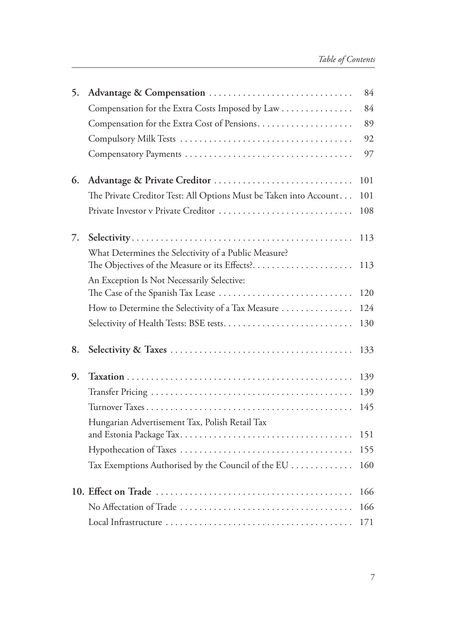| 5. | Advantage & Compensation                                          | 84  |
|----|-------------------------------------------------------------------|-----|
|    | Compensation for the Extra Costs Imposed by Law                   | 84  |
|    |                                                                   | 89  |
|    |                                                                   | 92  |
|    |                                                                   | 97  |
| 6. |                                                                   | 101 |
|    | The Private Creditor Test: All Options Must be Taken into Account | 101 |
|    | Private Investor v Private Creditor                               | 108 |
| 7. | What Determines the Selectivity of a Public Measure?              | 113 |
|    | The Objectives of the Measure or its Effects?                     | 113 |
|    | An Exception Is Not Necessarily Selective:                        |     |
|    | The Case of the Spanish Tax Lease                                 | 120 |
|    | How to Determine the Selectivity of a Tax Measure                 | 124 |
|    |                                                                   | 130 |
| 8. |                                                                   | 133 |
| 9. |                                                                   | 139 |
|    |                                                                   | 139 |
|    |                                                                   | 145 |
|    | Hungarian Advertisement Tax, Polish Retail Tax                    | 151 |
|    |                                                                   | 155 |
|    | Tax Exemptions Authorised by the Council of the EU                | 160 |
|    |                                                                   |     |
|    |                                                                   | 166 |
|    |                                                                   | 166 |
|    |                                                                   | 171 |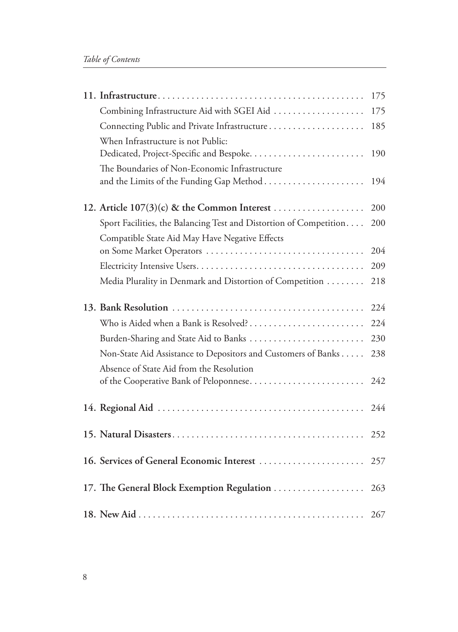|                                                                                           | 175 |
|-------------------------------------------------------------------------------------------|-----|
| Combining Infrastructure Aid with SGEI Aid                                                | 175 |
| Connecting Public and Private Infrastructure                                              | 185 |
| When Infrastructure is not Public:                                                        | 190 |
| The Boundaries of Non-Economic Infrastructure<br>and the Limits of the Funding Gap Method | 194 |
|                                                                                           | 200 |
| Sport Facilities, the Balancing Test and Distortion of Competition                        | 200 |
| Compatible State Aid May Have Negative Effects                                            |     |
|                                                                                           | 204 |
|                                                                                           | 209 |
| Media Plurality in Denmark and Distortion of Competition                                  | 218 |
|                                                                                           | 224 |
| Who is Aided when a Bank is Resolved?                                                     | 224 |
|                                                                                           | 230 |
| Non-State Aid Assistance to Depositors and Customers of Banks                             | 238 |
| Absence of State Aid from the Resolution<br>of the Cooperative Bank of Peloponnese        | 242 |
|                                                                                           | 244 |
|                                                                                           | 252 |
| 16. Services of General Economic Interest                                                 | 257 |
| 17. The General Block Exemption Regulation                                                | 263 |
|                                                                                           | 267 |